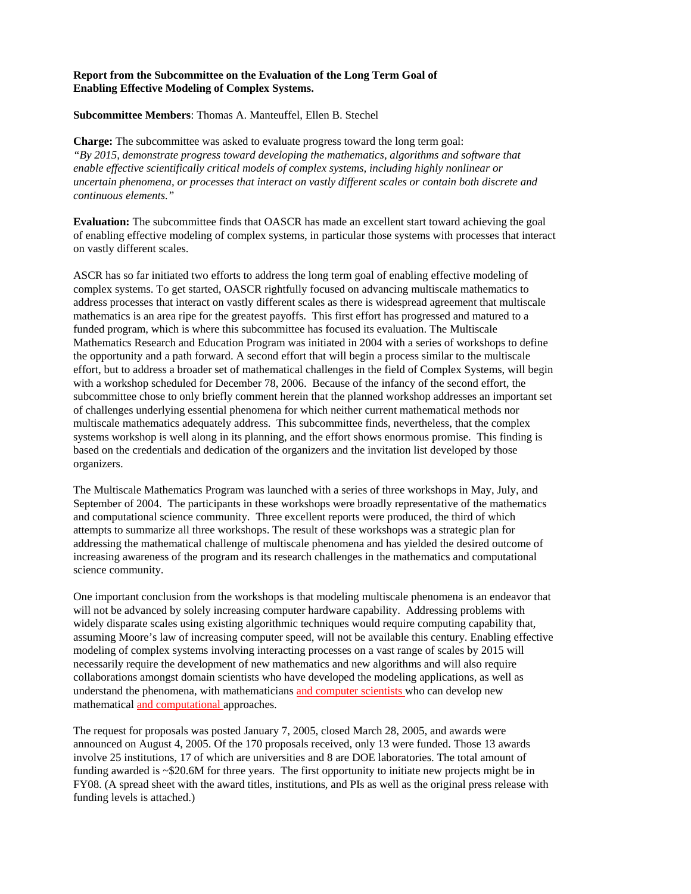## **Report from the Subcommittee on the Evaluation of the Long Term Goal of Enabling Effective Modeling of Complex Systems.**

## **Subcommittee Members**: Thomas A. Manteuffel, Ellen B. Stechel

**Charge:** The subcommittee was asked to evaluate progress toward the long term goal: *"By 2015, demonstrate progress toward developing the mathematics, algorithms and software that enable effective scientifically critical models of complex systems, including highly nonlinear or uncertain phenomena, or processes that interact on vastly different scales or contain both discrete and continuous elements."* 

**Evaluation:** The subcommittee finds that OASCR has made an excellent start toward achieving the goal of enabling effective modeling of complex systems, in particular those systems with processes that interact on vastly different scales.

ASCR has so far initiated two efforts to address the long term goal of enabling effective modeling of complex systems. To get started, OASCR rightfully focused on advancing multiscale mathematics to address processes that interact on vastly different scales as there is widespread agreement that multiscale mathematics is an area ripe for the greatest payoffs. This first effort has progressed and matured to a funded program, which is where this subcommittee has focused its evaluation. The Multiscale Mathematics Research and Education Program was initiated in 2004 with a series of workshops to define the opportunity and a path forward. A second effort that will begin a process similar to the multiscale effort, but to address a broader set of mathematical challenges in the field of Complex Systems, will begin with a workshop scheduled for December 78, 2006. Because of the infancy of the second effort, the subcommittee chose to only briefly comment herein that the planned workshop addresses an important set of challenges underlying essential phenomena for which neither current mathematical methods nor multiscale mathematics adequately address. This subcommittee finds, nevertheless, that the complex systems workshop is well along in its planning, and the effort shows enormous promise. This finding is based on the credentials and dedication of the organizers and the invitation list developed by those organizers.

The Multiscale Mathematics Program was launched with a series of three workshops in May, July, and September of 2004. The participants in these workshops were broadly representative of the mathematics and computational science community. Three excellent reports were produced, the third of which attempts to summarize all three workshops. The result of these workshops was a strategic plan for addressing the mathematical challenge of multiscale phenomena and has yielded the desired outcome of increasing awareness of the program and its research challenges in the mathematics and computational science community.

One important conclusion from the workshops is that modeling multiscale phenomena is an endeavor that will not be advanced by solely increasing computer hardware capability. Addressing problems with widely disparate scales using existing algorithmic techniques would require computing capability that, assuming Moore's law of increasing computer speed, will not be available this century. Enabling effective modeling of complex systems involving interacting processes on a vast range of scales by 2015 will necessarily require the development of new mathematics and new algorithms and will also require collaborations amongst domain scientists who have developed the modeling applications, as well as understand the phenomena, with mathematicians and computer scientists who can develop new mathematical and computational approaches.

The request for proposals was posted January 7, 2005, closed March 28, 2005, and awards were announced on August 4, 2005. Of the 170 proposals received, only 13 were funded. Those 13 awards involve 25 institutions, 17 of which are universities and 8 are DOE laboratories. The total amount of funding awarded is ~\$20.6M for three years. The first opportunity to initiate new projects might be in FY08. (A spread sheet with the award titles, institutions, and PIs as well as the original press release with funding levels is attached.)